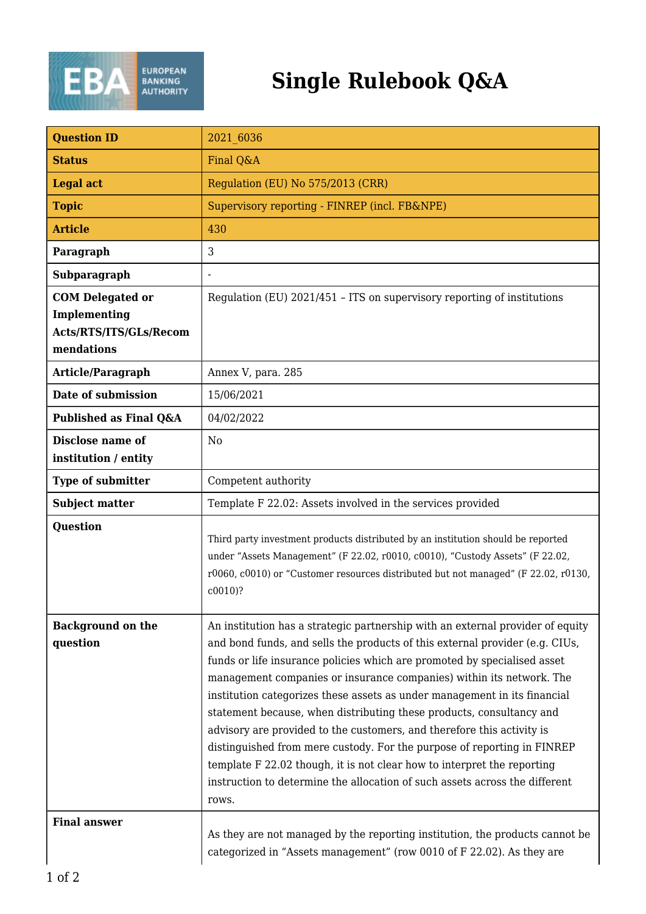

## **Single Rulebook Q&A**

| <b>Question ID</b>                                                              | 2021 6036                                                                                                                                                                                                                                                                                                                                                                                                                                                                                                                                                                                                                                                                                                                                                                                       |
|---------------------------------------------------------------------------------|-------------------------------------------------------------------------------------------------------------------------------------------------------------------------------------------------------------------------------------------------------------------------------------------------------------------------------------------------------------------------------------------------------------------------------------------------------------------------------------------------------------------------------------------------------------------------------------------------------------------------------------------------------------------------------------------------------------------------------------------------------------------------------------------------|
| <b>Status</b>                                                                   | Final Q&A                                                                                                                                                                                                                                                                                                                                                                                                                                                                                                                                                                                                                                                                                                                                                                                       |
| <b>Legal act</b>                                                                | Regulation (EU) No 575/2013 (CRR)                                                                                                                                                                                                                                                                                                                                                                                                                                                                                                                                                                                                                                                                                                                                                               |
| <b>Topic</b>                                                                    | Supervisory reporting - FINREP (incl. FB&NPE)                                                                                                                                                                                                                                                                                                                                                                                                                                                                                                                                                                                                                                                                                                                                                   |
| <b>Article</b>                                                                  | 430                                                                                                                                                                                                                                                                                                                                                                                                                                                                                                                                                                                                                                                                                                                                                                                             |
| Paragraph                                                                       | 3                                                                                                                                                                                                                                                                                                                                                                                                                                                                                                                                                                                                                                                                                                                                                                                               |
| Subparagraph                                                                    |                                                                                                                                                                                                                                                                                                                                                                                                                                                                                                                                                                                                                                                                                                                                                                                                 |
| <b>COM Delegated or</b><br>Implementing<br>Acts/RTS/ITS/GLs/Recom<br>mendations | Regulation (EU) 2021/451 - ITS on supervisory reporting of institutions                                                                                                                                                                                                                                                                                                                                                                                                                                                                                                                                                                                                                                                                                                                         |
| Article/Paragraph                                                               | Annex V, para. 285                                                                                                                                                                                                                                                                                                                                                                                                                                                                                                                                                                                                                                                                                                                                                                              |
| Date of submission                                                              | 15/06/2021                                                                                                                                                                                                                                                                                                                                                                                                                                                                                                                                                                                                                                                                                                                                                                                      |
| Published as Final Q&A                                                          | 04/02/2022                                                                                                                                                                                                                                                                                                                                                                                                                                                                                                                                                                                                                                                                                                                                                                                      |
| Disclose name of<br>institution / entity                                        | N <sub>0</sub>                                                                                                                                                                                                                                                                                                                                                                                                                                                                                                                                                                                                                                                                                                                                                                                  |
| <b>Type of submitter</b>                                                        | Competent authority                                                                                                                                                                                                                                                                                                                                                                                                                                                                                                                                                                                                                                                                                                                                                                             |
| <b>Subject matter</b>                                                           | Template F 22.02: Assets involved in the services provided                                                                                                                                                                                                                                                                                                                                                                                                                                                                                                                                                                                                                                                                                                                                      |
| <b>Question</b>                                                                 | Third party investment products distributed by an institution should be reported<br>under "Assets Management" (F 22.02, r0010, c0010), "Custody Assets" (F 22.02,<br>r0060, c0010) or "Customer resources distributed but not managed" (F 22.02, r0130,<br>$c0010$ ?                                                                                                                                                                                                                                                                                                                                                                                                                                                                                                                            |
| <b>Background on the</b><br>question                                            | An institution has a strategic partnership with an external provider of equity<br>and bond funds, and sells the products of this external provider (e.g. CIUs,<br>funds or life insurance policies which are promoted by specialised asset<br>management companies or insurance companies) within its network. The<br>institution categorizes these assets as under management in its financial<br>statement because, when distributing these products, consultancy and<br>advisory are provided to the customers, and therefore this activity is<br>distinguished from mere custody. For the purpose of reporting in FINREP<br>template F 22.02 though, it is not clear how to interpret the reporting<br>instruction to determine the allocation of such assets across the different<br>rows. |
| <b>Final answer</b>                                                             | As they are not managed by the reporting institution, the products cannot be                                                                                                                                                                                                                                                                                                                                                                                                                                                                                                                                                                                                                                                                                                                    |